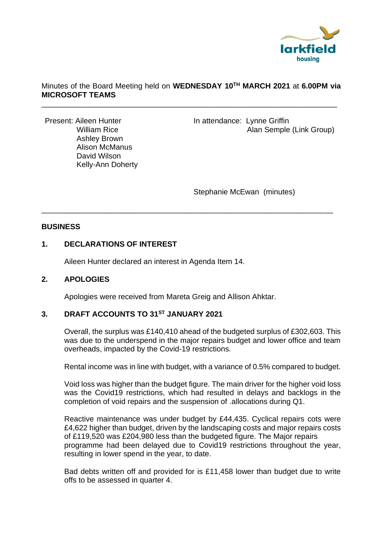

## Minutes of the Board Meeting held on **WEDNESDAY 10TH MARCH 2021** at **6.00PM via MICROSOFT TEAMS**

\_\_\_\_\_\_\_\_\_\_\_\_\_\_\_\_\_\_\_\_\_\_\_\_\_\_\_\_\_\_\_\_\_\_\_\_\_\_\_\_\_\_\_\_\_\_\_\_\_\_\_\_\_\_\_\_\_\_\_\_\_\_\_\_\_\_\_\_\_\_

\_\_\_\_\_\_\_\_\_\_\_\_\_\_\_\_\_\_\_\_\_\_\_\_\_\_\_\_\_\_\_\_\_\_\_\_\_\_\_\_\_\_\_\_\_\_\_\_\_\_\_\_\_\_\_\_\_\_\_\_\_\_\_\_\_\_\_\_\_

 Ashley Brown Alison McManus David Wilson Kelly-Ann Doherty

Present: Aileen Hunter In attendance: Lynne Griffin William Rice **Alan Semple (Link Group)** 

Stephanie McEwan (minutes)

## **BUSINESS**

# **1. DECLARATIONS OF INTEREST**

Aileen Hunter declared an interest in Agenda Item 14.

## **2. APOLOGIES**

Apologies were received from Mareta Greig and Allison Ahktar.

# **3. DRAFT ACCOUNTS TO 31ST JANUARY 2021**

Overall, the surplus was £140,410 ahead of the budgeted surplus of £302,603. This was due to the underspend in the major repairs budget and lower office and team overheads, impacted by the Covid-19 restrictions.

Rental income was in line with budget, with a variance of 0.5% compared to budget.

Void loss was higher than the budget figure. The main driver for the higher void loss was the Covid19 restrictions, which had resulted in delays and backlogs in the completion of void repairs and the suspension of .allocations during Q1.

Reactive maintenance was under budget by £44,435. Cyclical repairs cots were £4,622 higher than budget, driven by the landscaping costs and major repairs costs of £119,520 was £204,980 less than the budgeted figure. The Major repairs programme had been delayed due to Covid19 restrictions throughout the year, resulting in lower spend in the year, to date.

Bad debts written off and provided for is £11,458 lower than budget due to write offs to be assessed in quarter 4.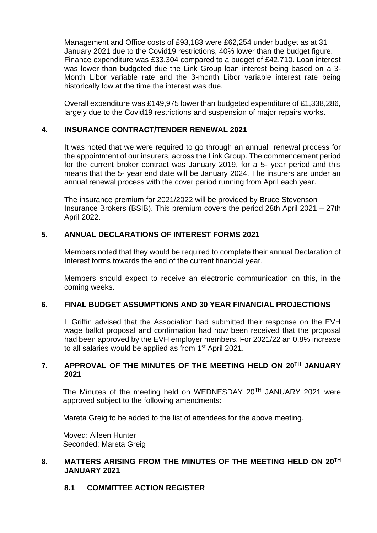Management and Office costs of £93,183 were £62,254 under budget as at 31 January 2021 due to the Covid19 restrictions, 40% lower than the budget figure. Finance expenditure was £33,304 compared to a budget of £42,710. Loan interest was lower than budgeted due the Link Group loan interest being based on a 3- Month Libor variable rate and the 3-month Libor variable interest rate being historically low at the time the interest was due.

Overall expenditure was £149,975 lower than budgeted expenditure of £1,338,286, largely due to the Covid19 restrictions and suspension of major repairs works.

## **4. INSURANCE CONTRACT/TENDER RENEWAL 2021**

It was noted that we were required to go through an annual renewal process for the appointment of our insurers, across the Link Group. The commencement period for the current broker contract was January 2019, for a 5- year period and this means that the 5- year end date will be January 2024. The insurers are under an annual renewal process with the cover period running from April each year.

The insurance premium for 2021/2022 will be provided by Bruce Stevenson Insurance Brokers (BSIB). This premium covers the period 28th April 2021 – 27th April 2022.

## **5. ANNUAL DECLARATIONS OF INTEREST FORMS 2021**

Members noted that they would be required to complete their annual Declaration of Interest forms towards the end of the current financial year.

Members should expect to receive an electronic communication on this, in the coming weeks.

## **6. FINAL BUDGET ASSUMPTIONS AND 30 YEAR FINANCIAL PROJECTIONS**

L Griffin advised that the Association had submitted their response on the EVH wage ballot proposal and confirmation had now been received that the proposal had been approved by the EVH employer members. For 2021/22 an 0.8% increase to all salaries would be applied as from 1<sup>st</sup> April 2021.

## **7. APPROVAL OF THE MINUTES OF THE MEETING HELD ON 20TH JANUARY 2021**

The Minutes of the meeting held on WEDNESDAY 20TH JANUARY 2021 were approved subject to the following amendments:

Mareta Greig to be added to the list of attendees for the above meeting.

Moved: Aileen Hunter Seconded: Mareta Greig

## **8. MATTERS ARISING FROM THE MINUTES OF THE MEETING HELD ON 20TH JANUARY 2021**

## **8.1 COMMITTEE ACTION REGISTER**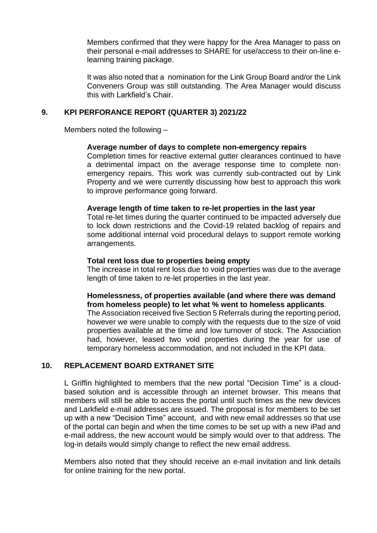Members confirmed that they were happy for the Area Manager to pass on their personal e-mail addresses to SHARE for use/access to their on-line elearning training package.

It was also noted that a nomination for the Link Group Board and/or the Link Conveners Group was still outstanding. The Area Manager would discuss this with Larkfield's Chair.

## **9. KPI PERFORANCE REPORT (QUARTER 3) 2021/22**

Members noted the following –

#### **Average number of days to complete non-emergency repairs**

Completion times for reactive external gutter clearances continued to have a detrimental impact on the average response time to complete nonemergency repairs. This work was currently sub-contracted out by Link Property and we were currently discussing how best to approach this work to improve performance going forward.

#### **Average length of time taken to re-let properties in the last year**

Total re-let times during the quarter continued to be impacted adversely due to lock down restrictions and the Covid-19 related backlog of repairs and some additional internal void procedural delays to support remote working arrangements.

#### **Total rent loss due to properties being empty**

The increase in total rent loss due to void properties was due to the average length of time taken to re-let properties in the last year.

## **Homelessness, of properties available (and where there was demand from homeless people) to let what % went to homeless applicants**.

The Association received five Section 5 Referrals during the reporting period, however we were unable to comply with the requests due to the size of void properties available at the time and low turnover of stock. The Association had, however, leased two void properties during the year for use of temporary homeless accommodation, and not included in the KPI data.

## **10. REPLACEMENT BOARD EXTRANET SITE**

L Griffin highlighted to members that the new portal "Decision Time" is a cloudbased solution and is accessible through an internet browser. This means that members will still be able to access the portal until such times as the new devices and Larkfield e-mail addresses are issued. The proposal is for members to be set up with a new "Decision Time" account, and with new email addresses so that use of the portal can begin and when the time comes to be set up with a new iPad and e-mail address, the new account would be simply would over to that address. The log-in details would simply change to reflect the new email address.

Members also noted that they should receive an e-mail invitation and link details for online training for the new portal.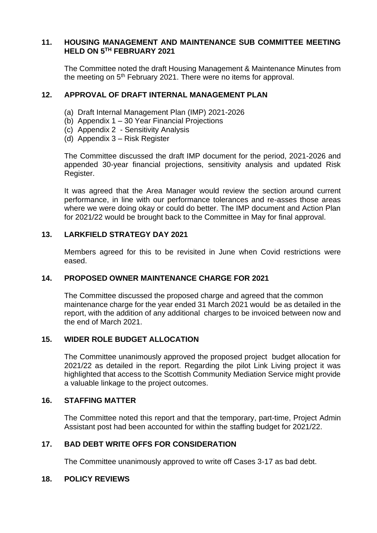### **11. HOUSING MANAGEMENT AND MAINTENANCE SUB COMMITTEE MEETING HELD ON 5TH FEBRUARY 2021**

The Committee noted the draft Housing Management & Maintenance Minutes from the meeting on  $5<sup>th</sup>$  February 2021. There were no items for approval.

## **12. APPROVAL OF DRAFT INTERNAL MANAGEMENT PLAN**

- (a) Draft Internal Management Plan (IMP) 2021-2026
- (b) Appendix 1 30 Year Financial Projections
- (c) Appendix 2 Sensitivity Analysis
- (d) Appendix 3 Risk Register

The Committee discussed the draft IMP document for the period, 2021-2026 and appended 30-year financial projections, sensitivity analysis and updated Risk Register.

It was agreed that the Area Manager would review the section around current performance, in line with our performance tolerances and re-asses those areas where we were doing okay or could do better. The IMP document and Action Plan for 2021/22 would be brought back to the Committee in May for final approval.

## **13. LARKFIELD STRATEGY DAY 2021**

Members agreed for this to be revisited in June when Covid restrictions were eased.

## **14. PROPOSED OWNER MAINTENANCE CHARGE FOR 2021**

The Committee discussed the proposed charge and agreed that the common maintenance charge for the year ended 31 March 2021 would be as detailed in the report, with the addition of any additional charges to be invoiced between now and the end of March 2021.

## **15. WIDER ROLE BUDGET ALLOCATION**

The Committee unanimously approved the proposed project budget allocation for 2021/22 as detailed in the report. Regarding the pilot Link Living project it was highlighted that access to the Scottish Community Mediation Service might provide a valuable linkage to the project outcomes.

#### **16. STAFFING MATTER**

The Committee noted this report and that the temporary, part-time, Project Admin Assistant post had been accounted for within the staffing budget for 2021/22.

## **17. BAD DEBT WRITE OFFS FOR CONSIDERATION**

The Committee unanimously approved to write off Cases 3-17 as bad debt.

#### **18. POLICY REVIEWS**